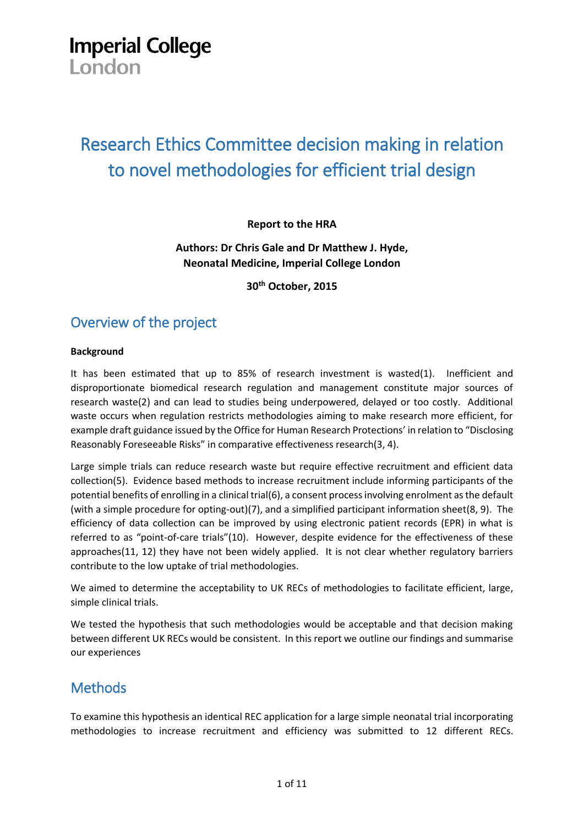# **Imperial College**

London

## Research Ethics Committee decision making in relation to novel methodologies for efficient trial design

#### **Report to the HRA**

#### **Authors: Dr Chris Gale and Dr Matthew J. Hyde, Neonatal Medicine, Imperial College London**

**30th October, 2015**

## Overview of the project

#### **Background**

It has been estimated that up to 85% of research investment is wasted(1). Inefficient and disproportionate biomedical research regulation and management constitute major sources of research waste(2) and can lead to studies being underpowered, delayed or too costly. Additional waste occurs when regulation restricts methodologies aiming to make research more efficient, for example draft guidance issued by the Office for Human Research Protections' in relation to "Disclosing Reasonably Foreseeable Risks" in comparative effectiveness research(3, 4).

Large simple trials can reduce research waste but require effective recruitment and efficient data collection(5). Evidence based methods to increase recruitment include informing participants of the potential benefits of enrolling in a clinical trial(6), a consent process involving enrolment as the default (with a simple procedure for opting-out)(7), and a simplified participant information sheet(8, 9). The efficiency of data collection can be improved by using electronic patient records (EPR) in what is referred to as "point-of-care trials"(10). However, despite evidence for the effectiveness of these approaches(11, 12) they have not been widely applied. It is not clear whether regulatory barriers contribute to the low uptake of trial methodologies.

We aimed to determine the acceptability to UK RECs of methodologies to facilitate efficient, large, simple clinical trials.

We tested the hypothesis that such methodologies would be acceptable and that decision making between different UK RECs would be consistent. In this report we outline our findings and summarise our experiences

## **Methods**

To examine this hypothesis an identical REC application for a large simple neonatal trial incorporating methodologies to increase recruitment and efficiency was submitted to 12 different RECs.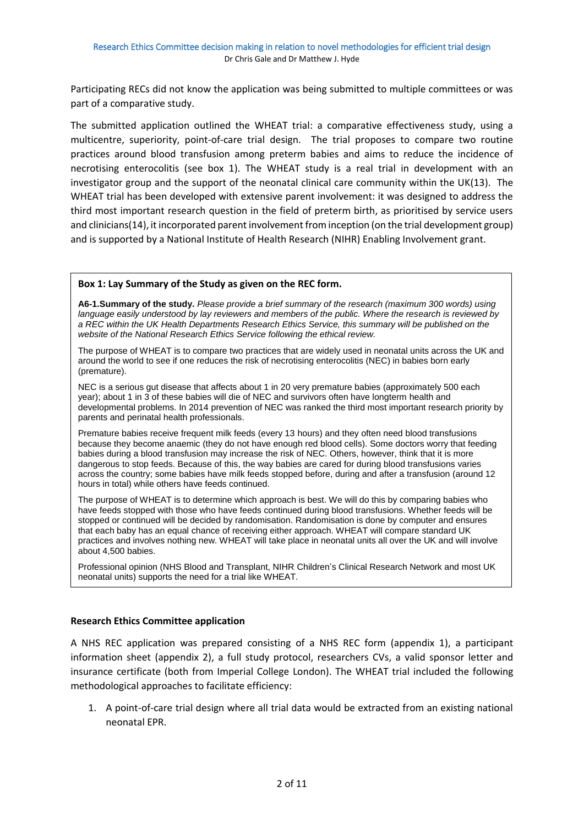Participating RECs did not know the application was being submitted to multiple committees or was part of a comparative study.

The submitted application outlined the WHEAT trial: a comparative effectiveness study, using a multicentre, superiority, point-of-care trial design. The trial proposes to compare two routine practices around blood transfusion among preterm babies and aims to reduce the incidence of necrotising enterocolitis (see box 1). The WHEAT study is a real trial in development with an investigator group and the support of the neonatal clinical care community within the UK(13). The WHEAT trial has been developed with extensive parent involvement: it was designed to address the third most important research question in the field of preterm birth, as prioritised by service users and clinicians(14), it incorporated parent involvement from inception (on the trial development group) and is supported by a National Institute of Health Research (NIHR) Enabling Involvement grant.

#### **Box 1: Lay Summary of the Study as given on the REC form.**

**A6-1.Summary of the study.** *Please provide a brief summary of the research (maximum 300 words) using language easily understood by lay reviewers and members of the public. Where the research is reviewed by a REC within the UK Health Departments Research Ethics Service, this summary will be published on the website of the National Research Ethics Service following the ethical review.*

The purpose of WHEAT is to compare two practices that are widely used in neonatal units across the UK and around the world to see if one reduces the risk of necrotising enterocolitis (NEC) in babies born early (premature).

NEC is a serious gut disease that affects about 1 in 20 very premature babies (approximately 500 each year); about 1 in 3 of these babies will die of NEC and survivors often have longterm health and developmental problems. In 2014 prevention of NEC was ranked the third most important research priority by parents and perinatal health professionals.

Premature babies receive frequent milk feeds (every 13 hours) and they often need blood transfusions because they become anaemic (they do not have enough red blood cells). Some doctors worry that feeding babies during a blood transfusion may increase the risk of NEC. Others, however, think that it is more dangerous to stop feeds. Because of this, the way babies are cared for during blood transfusions varies across the country; some babies have milk feeds stopped before, during and after a transfusion (around 12 hours in total) while others have feeds continued.

The purpose of WHEAT is to determine which approach is best. We will do this by comparing babies who have feeds stopped with those who have feeds continued during blood transfusions. Whether feeds will be stopped or continued will be decided by randomisation. Randomisation is done by computer and ensures that each baby has an equal chance of receiving either approach. WHEAT will compare standard UK practices and involves nothing new. WHEAT will take place in neonatal units all over the UK and will involve about 4,500 babies.

Professional opinion (NHS Blood and Transplant, NIHR Children's Clinical Research Network and most UK neonatal units) supports the need for a trial like WHEAT.

#### **Research Ethics Committee application**

A NHS REC application was prepared consisting of a NHS REC form (appendix 1), a participant information sheet (appendix 2), a full study protocol, researchers CVs, a valid sponsor letter and insurance certificate (both from Imperial College London). The WHEAT trial included the following methodological approaches to facilitate efficiency:

1. A point-of-care trial design where all trial data would be extracted from an existing national neonatal EPR.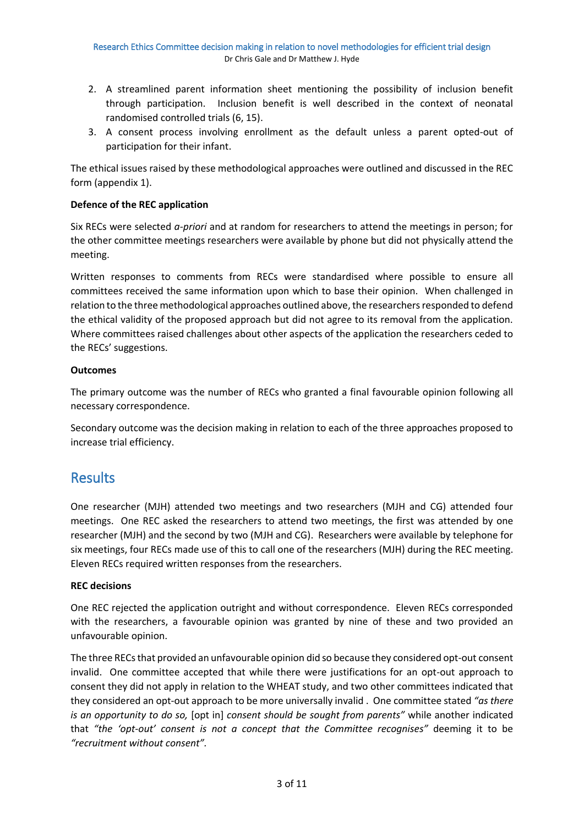- 2. A streamlined parent information sheet mentioning the possibility of inclusion benefit through participation. Inclusion benefit is well described in the context of neonatal randomised controlled trials (6, 15).
- 3. A consent process involving enrollment as the default unless a parent opted-out of participation for their infant.

The ethical issues raised by these methodological approaches were outlined and discussed in the REC form (appendix 1).

#### **Defence of the REC application**

Six RECs were selected *a-priori* and at random for researchers to attend the meetings in person; for the other committee meetings researchers were available by phone but did not physically attend the meeting.

Written responses to comments from RECs were standardised where possible to ensure all committees received the same information upon which to base their opinion. When challenged in relation to the three methodological approaches outlined above, the researchers responded to defend the ethical validity of the proposed approach but did not agree to its removal from the application. Where committees raised challenges about other aspects of the application the researchers ceded to the RECs' suggestions.

#### **Outcomes**

The primary outcome was the number of RECs who granted a final favourable opinion following all necessary correspondence.

Secondary outcome was the decision making in relation to each of the three approaches proposed to increase trial efficiency.

### Results

One researcher (MJH) attended two meetings and two researchers (MJH and CG) attended four meetings. One REC asked the researchers to attend two meetings, the first was attended by one researcher (MJH) and the second by two (MJH and CG). Researchers were available by telephone for six meetings, four RECs made use of this to call one of the researchers (MJH) during the REC meeting. Eleven RECs required written responses from the researchers.

#### **REC decisions**

One REC rejected the application outright and without correspondence. Eleven RECs corresponded with the researchers, a favourable opinion was granted by nine of these and two provided an unfavourable opinion.

The three RECsthat provided an unfavourable opinion did so because they considered opt-out consent invalid. One committee accepted that while there were justifications for an opt-out approach to consent they did not apply in relation to the WHEAT study, and two other committees indicated that they considered an opt-out approach to be more universally invalid . One committee stated *"as there is an opportunity to do so,* [opt in] *consent should be sought from parents"* while another indicated that *"the 'opt-out' consent is not a concept that the Committee recognises"* deeming it to be *"recruitment without consent".*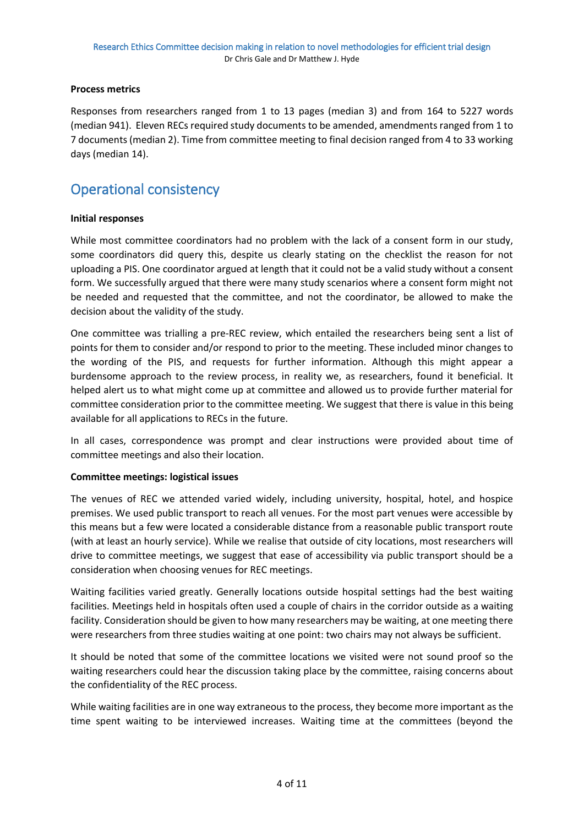#### **Process metrics**

Responses from researchers ranged from 1 to 13 pages (median 3) and from 164 to 5227 words (median 941). Eleven RECs required study documents to be amended, amendments ranged from 1 to 7 documents (median 2). Time from committee meeting to final decision ranged from 4 to 33 working days (median 14).

## Operational consistency

#### **Initial responses**

While most committee coordinators had no problem with the lack of a consent form in our study, some coordinators did query this, despite us clearly stating on the checklist the reason for not uploading a PIS. One coordinator argued at length that it could not be a valid study without a consent form. We successfully argued that there were many study scenarios where a consent form might not be needed and requested that the committee, and not the coordinator, be allowed to make the decision about the validity of the study.

One committee was trialling a pre-REC review, which entailed the researchers being sent a list of points for them to consider and/or respond to prior to the meeting. These included minor changes to the wording of the PIS, and requests for further information. Although this might appear a burdensome approach to the review process, in reality we, as researchers, found it beneficial. It helped alert us to what might come up at committee and allowed us to provide further material for committee consideration prior to the committee meeting. We suggest that there is value in this being available for all applications to RECs in the future.

In all cases, correspondence was prompt and clear instructions were provided about time of committee meetings and also their location.

#### **Committee meetings: logistical issues**

The venues of REC we attended varied widely, including university, hospital, hotel, and hospice premises. We used public transport to reach all venues. For the most part venues were accessible by this means but a few were located a considerable distance from a reasonable public transport route (with at least an hourly service). While we realise that outside of city locations, most researchers will drive to committee meetings, we suggest that ease of accessibility via public transport should be a consideration when choosing venues for REC meetings.

Waiting facilities varied greatly. Generally locations outside hospital settings had the best waiting facilities. Meetings held in hospitals often used a couple of chairs in the corridor outside as a waiting facility. Consideration should be given to how many researchers may be waiting, at one meeting there were researchers from three studies waiting at one point: two chairs may not always be sufficient.

It should be noted that some of the committee locations we visited were not sound proof so the waiting researchers could hear the discussion taking place by the committee, raising concerns about the confidentiality of the REC process.

While waiting facilities are in one way extraneous to the process, they become more important as the time spent waiting to be interviewed increases. Waiting time at the committees (beyond the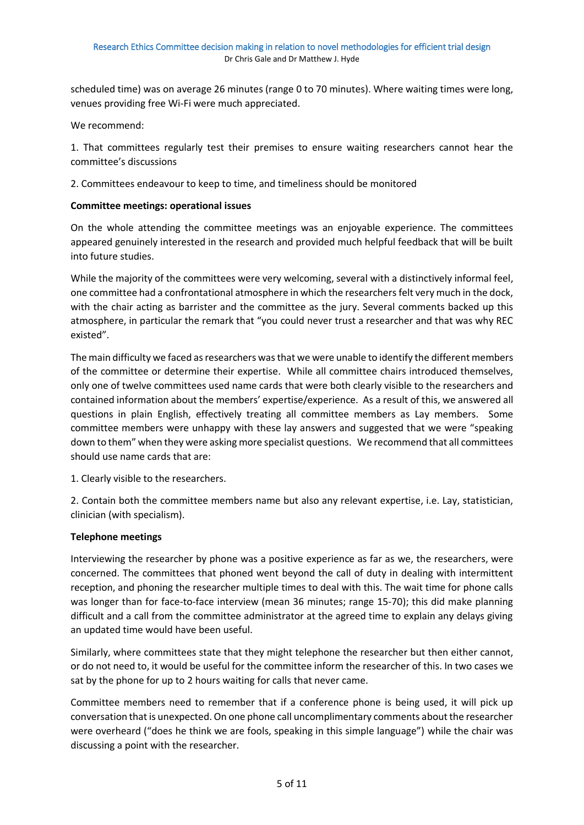scheduled time) was on average 26 minutes (range 0 to 70 minutes). Where waiting times were long, venues providing free Wi-Fi were much appreciated.

We recommend:

1. That committees regularly test their premises to ensure waiting researchers cannot hear the committee's discussions

2. Committees endeavour to keep to time, and timeliness should be monitored

#### **Committee meetings: operational issues**

On the whole attending the committee meetings was an enjoyable experience. The committees appeared genuinely interested in the research and provided much helpful feedback that will be built into future studies.

While the majority of the committees were very welcoming, several with a distinctively informal feel, one committee had a confrontational atmosphere in which the researchersfelt very much in the dock, with the chair acting as barrister and the committee as the jury. Several comments backed up this atmosphere, in particular the remark that "you could never trust a researcher and that was why REC existed".

The main difficulty we faced as researchers was that we were unable to identify the different members of the committee or determine their expertise. While all committee chairs introduced themselves, only one of twelve committees used name cards that were both clearly visible to the researchers and contained information about the members' expertise/experience. As a result of this, we answered all questions in plain English, effectively treating all committee members as Lay members. Some committee members were unhappy with these lay answers and suggested that we were "speaking down to them" when they were asking more specialist questions. We recommend that all committees should use name cards that are:

1. Clearly visible to the researchers.

2. Contain both the committee members name but also any relevant expertise, i.e. Lay, statistician, clinician (with specialism).

#### **Telephone meetings**

Interviewing the researcher by phone was a positive experience as far as we, the researchers, were concerned. The committees that phoned went beyond the call of duty in dealing with intermittent reception, and phoning the researcher multiple times to deal with this. The wait time for phone calls was longer than for face-to-face interview (mean 36 minutes; range 15-70); this did make planning difficult and a call from the committee administrator at the agreed time to explain any delays giving an updated time would have been useful.

Similarly, where committees state that they might telephone the researcher but then either cannot, or do not need to, it would be useful for the committee inform the researcher of this. In two cases we sat by the phone for up to 2 hours waiting for calls that never came.

Committee members need to remember that if a conference phone is being used, it will pick up conversation that is unexpected. On one phone call uncomplimentary comments about the researcher were overheard ("does he think we are fools, speaking in this simple language") while the chair was discussing a point with the researcher.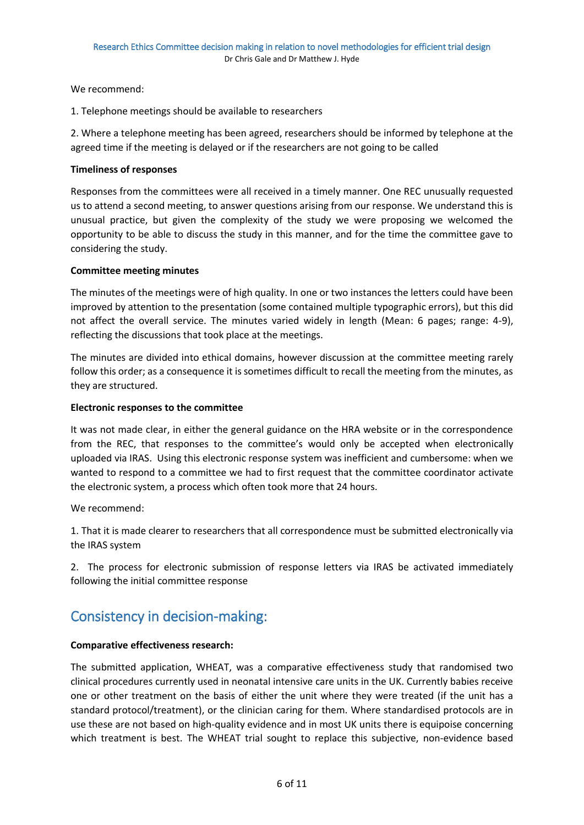We recommend:

1. Telephone meetings should be available to researchers

2. Where a telephone meeting has been agreed, researchers should be informed by telephone at the agreed time if the meeting is delayed or if the researchers are not going to be called

#### **Timeliness of responses**

Responses from the committees were all received in a timely manner. One REC unusually requested us to attend a second meeting, to answer questions arising from our response. We understand this is unusual practice, but given the complexity of the study we were proposing we welcomed the opportunity to be able to discuss the study in this manner, and for the time the committee gave to considering the study.

#### **Committee meeting minutes**

The minutes of the meetings were of high quality. In one or two instances the letters could have been improved by attention to the presentation (some contained multiple typographic errors), but this did not affect the overall service. The minutes varied widely in length (Mean: 6 pages; range: 4-9), reflecting the discussions that took place at the meetings.

The minutes are divided into ethical domains, however discussion at the committee meeting rarely follow this order; as a consequence it is sometimes difficult to recall the meeting from the minutes, as they are structured.

#### **Electronic responses to the committee**

It was not made clear, in either the general guidance on the HRA website or in the correspondence from the REC, that responses to the committee's would only be accepted when electronically uploaded via IRAS. Using this electronic response system was inefficient and cumbersome: when we wanted to respond to a committee we had to first request that the committee coordinator activate the electronic system, a process which often took more that 24 hours.

We recommend:

1. That it is made clearer to researchers that all correspondence must be submitted electronically via the IRAS system

2. The process for electronic submission of response letters via IRAS be activated immediately following the initial committee response

## Consistency in decision-making:

#### **Comparative effectiveness research:**

The submitted application, WHEAT, was a comparative effectiveness study that randomised two clinical procedures currently used in neonatal intensive care units in the UK. Currently babies receive one or other treatment on the basis of either the unit where they were treated (if the unit has a standard protocol/treatment), or the clinician caring for them. Where standardised protocols are in use these are not based on high-quality evidence and in most UK units there is equipoise concerning which treatment is best. The WHEAT trial sought to replace this subjective, non-evidence based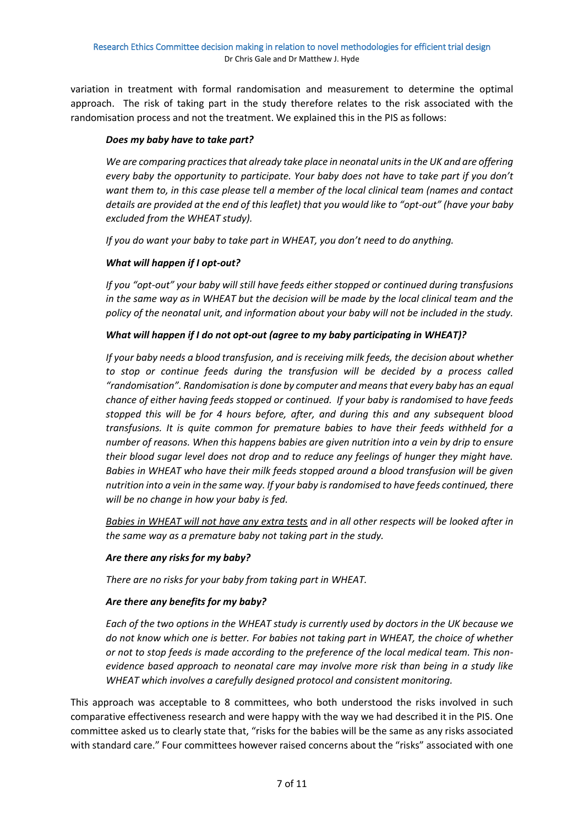variation in treatment with formal randomisation and measurement to determine the optimal approach. The risk of taking part in the study therefore relates to the risk associated with the randomisation process and not the treatment. We explained this in the PIS as follows:

#### *Does my baby have to take part?*

*We are comparing practices that already take place in neonatal units in the UK and are offering every baby the opportunity to participate. Your baby does not have to take part if you don't want them to, in this case please tell a member of the local clinical team (names and contact details are provided at the end of this leaflet) that you would like to "opt-out" (have your baby excluded from the WHEAT study).* 

*If you do want your baby to take part in WHEAT, you don't need to do anything.*

#### *What will happen if I opt-out?*

*If you "opt-out" your baby will still have feeds either stopped or continued during transfusions in the same way as in WHEAT but the decision will be made by the local clinical team and the policy of the neonatal unit, and information about your baby will not be included in the study.*

#### *What will happen if I do not opt-out (agree to my baby participating in WHEAT)?*

*If your baby needs a blood transfusion, and is receiving milk feeds, the decision about whether to stop or continue feeds during the transfusion will be decided by a process called "randomisation". Randomisation is done by computer and means that every baby has an equal chance of either having feeds stopped or continued. If your baby is randomised to have feeds stopped this will be for 4 hours before, after, and during this and any subsequent blood transfusions. It is quite common for premature babies to have their feeds withheld for a number of reasons. When this happens babies are given nutrition into a vein by drip to ensure their blood sugar level does not drop and to reduce any feelings of hunger they might have. Babies in WHEAT who have their milk feeds stopped around a blood transfusion will be given nutrition into a vein in the same way. If your baby is randomised to have feeds continued, there will be no change in how your baby is fed.* 

*Babies in WHEAT will not have any extra tests and in all other respects will be looked after in the same way as a premature baby not taking part in the study.*

#### *Are there any risks for my baby?*

*There are no risks for your baby from taking part in WHEAT.* 

#### *Are there any benefits for my baby?*

*Each of the two options in the WHEAT study is currently used by doctors in the UK because we do not know which one is better. For babies not taking part in WHEAT, the choice of whether or not to stop feeds is made according to the preference of the local medical team. This nonevidence based approach to neonatal care may involve more risk than being in a study like WHEAT which involves a carefully designed protocol and consistent monitoring.* 

This approach was acceptable to 8 committees, who both understood the risks involved in such comparative effectiveness research and were happy with the way we had described it in the PIS. One committee asked us to clearly state that, "risks for the babies will be the same as any risks associated with standard care." Four committees however raised concerns about the "risks" associated with one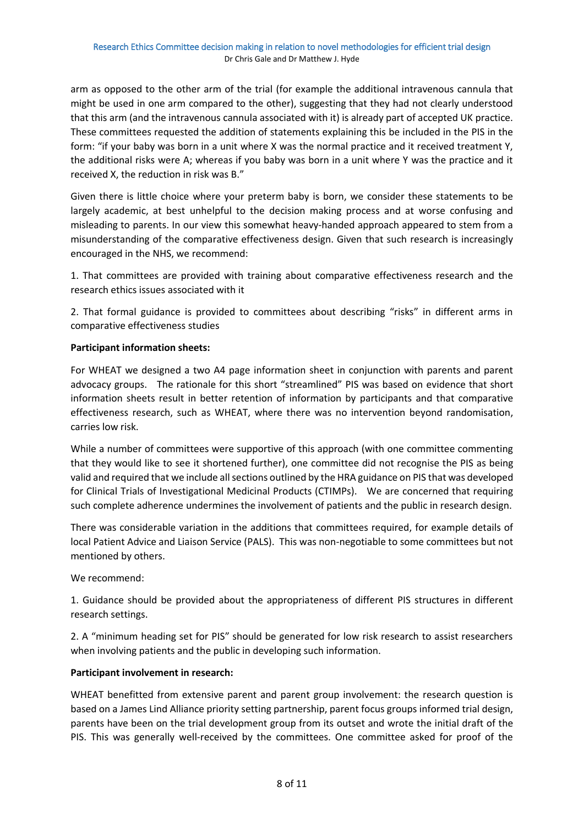arm as opposed to the other arm of the trial (for example the additional intravenous cannula that might be used in one arm compared to the other), suggesting that they had not clearly understood that this arm (and the intravenous cannula associated with it) is already part of accepted UK practice. These committees requested the addition of statements explaining this be included in the PIS in the form: "if your baby was born in a unit where X was the normal practice and it received treatment Y, the additional risks were A; whereas if you baby was born in a unit where Y was the practice and it received X, the reduction in risk was B."

Given there is little choice where your preterm baby is born, we consider these statements to be largely academic, at best unhelpful to the decision making process and at worse confusing and misleading to parents. In our view this somewhat heavy-handed approach appeared to stem from a misunderstanding of the comparative effectiveness design. Given that such research is increasingly encouraged in the NHS, we recommend:

1. That committees are provided with training about comparative effectiveness research and the research ethics issues associated with it

2. That formal guidance is provided to committees about describing "risks" in different arms in comparative effectiveness studies

#### **Participant information sheets:**

For WHEAT we designed a two A4 page information sheet in conjunction with parents and parent advocacy groups. The rationale for this short "streamlined" PIS was based on evidence that short information sheets result in better retention of information by participants and that comparative effectiveness research, such as WHEAT, where there was no intervention beyond randomisation, carries low risk.

While a number of committees were supportive of this approach (with one committee commenting that they would like to see it shortened further), one committee did not recognise the PIS as being valid and required that we include all sections outlined by the HRA guidance on PIS that was developed for Clinical Trials of Investigational Medicinal Products (CTIMPs). We are concerned that requiring such complete adherence undermines the involvement of patients and the public in research design.

There was considerable variation in the additions that committees required, for example details of local Patient Advice and Liaison Service (PALS). This was non-negotiable to some committees but not mentioned by others.

We recommend:

1. Guidance should be provided about the appropriateness of different PIS structures in different research settings.

2. A "minimum heading set for PIS" should be generated for low risk research to assist researchers when involving patients and the public in developing such information.

#### **Participant involvement in research:**

WHEAT benefitted from extensive parent and parent group involvement: the research question is based on a James Lind Alliance priority setting partnership, parent focus groups informed trial design, parents have been on the trial development group from its outset and wrote the initial draft of the PIS. This was generally well-received by the committees. One committee asked for proof of the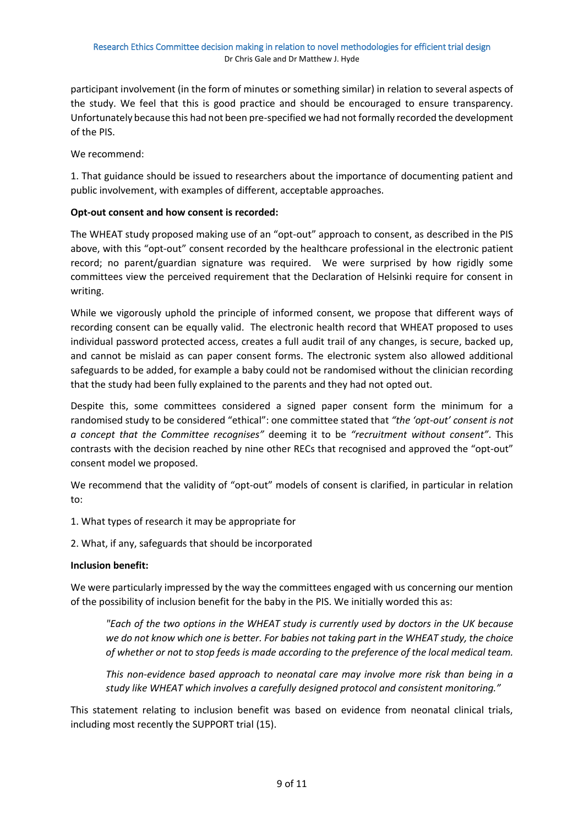participant involvement (in the form of minutes or something similar) in relation to several aspects of the study. We feel that this is good practice and should be encouraged to ensure transparency. Unfortunately because this had not been pre-specified we had not formally recorded the development of the PIS.

We recommend:

1. That guidance should be issued to researchers about the importance of documenting patient and public involvement, with examples of different, acceptable approaches.

#### **Opt-out consent and how consent is recorded:**

The WHEAT study proposed making use of an "opt-out" approach to consent, as described in the PIS above, with this "opt-out" consent recorded by the healthcare professional in the electronic patient record; no parent/guardian signature was required. We were surprised by how rigidly some committees view the perceived requirement that the Declaration of Helsinki require for consent in writing.

While we vigorously uphold the principle of informed consent, we propose that different ways of recording consent can be equally valid. The electronic health record that WHEAT proposed to uses individual password protected access, creates a full audit trail of any changes, is secure, backed up, and cannot be mislaid as can paper consent forms. The electronic system also allowed additional safeguards to be added, for example a baby could not be randomised without the clinician recording that the study had been fully explained to the parents and they had not opted out.

Despite this, some committees considered a signed paper consent form the minimum for a randomised study to be considered "ethical": one committee stated that *"the 'opt-out' consent is not a concept that the Committee recognises"* deeming it to be *"recruitment without consent"*. This contrasts with the decision reached by nine other RECs that recognised and approved the "opt-out" consent model we proposed.

We recommend that the validity of "opt-out" models of consent is clarified, in particular in relation to:

1. What types of research it may be appropriate for

2. What, if any, safeguards that should be incorporated

#### **Inclusion benefit:**

We were particularly impressed by the way the committees engaged with us concerning our mention of the possibility of inclusion benefit for the baby in the PIS. We initially worded this as:

*"Each of the two options in the WHEAT study is currently used by doctors in the UK because we do not know which one is better. For babies not taking part in the WHEAT study, the choice of whether or not to stop feeds is made according to the preference of the local medical team.*

*This non-evidence based approach to neonatal care may involve more risk than being in a study like WHEAT which involves a carefully designed protocol and consistent monitoring."* 

This statement relating to inclusion benefit was based on evidence from neonatal clinical trials, including most recently the SUPPORT trial (15).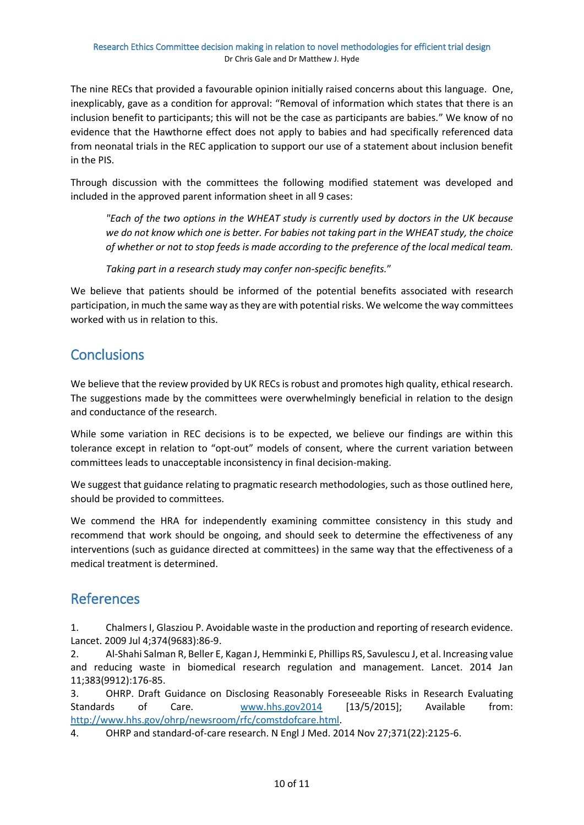The nine RECs that provided a favourable opinion initially raised concerns about this language. One, inexplicably, gave as a condition for approval: "Removal of information which states that there is an inclusion benefit to participants; this will not be the case as participants are babies." We know of no evidence that the Hawthorne effect does not apply to babies and had specifically referenced data from neonatal trials in the REC application to support our use of a statement about inclusion benefit in the PIS.

Through discussion with the committees the following modified statement was developed and included in the approved parent information sheet in all 9 cases:

*"Each of the two options in the WHEAT study is currently used by doctors in the UK because we do not know which one is better. For babies not taking part in the WHEAT study, the choice of whether or not to stop feeds is made according to the preference of the local medical team.*

*Taking part in a research study may confer non-specific benefits.*"

We believe that patients should be informed of the potential benefits associated with research participation, in much the same way as they are with potential risks. We welcome the way committees worked with us in relation to this.

## **Conclusions**

We believe that the review provided by UK RECs is robust and promotes high quality, ethical research. The suggestions made by the committees were overwhelmingly beneficial in relation to the design and conductance of the research.

While some variation in REC decisions is to be expected, we believe our findings are within this tolerance except in relation to "opt-out" models of consent, where the current variation between committees leads to unacceptable inconsistency in final decision-making.

We suggest that guidance relating to pragmatic research methodologies, such as those outlined here, should be provided to committees.

We commend the HRA for independently examining committee consistency in this study and recommend that work should be ongoing, and should seek to determine the effectiveness of any interventions (such as guidance directed at committees) in the same way that the effectiveness of a medical treatment is determined.

## References

1. Chalmers I, Glasziou P. Avoidable waste in the production and reporting of research evidence. Lancet. 2009 Jul 4;374(9683):86-9.

2. Al-Shahi Salman R, Beller E, Kagan J, Hemminki E, Phillips RS, Savulescu J, et al. Increasing value and reducing waste in biomedical research regulation and management. Lancet. 2014 Jan 11;383(9912):176-85.

3. OHRP. Draft Guidance on Disclosing Reasonably Foreseeable Risks in Research Evaluating Standards of Care. [www.hhs.gov2014](http://www.hhs.gov2014/) [13/5/2015]; Available from: [http://www.hhs.gov/ohrp/newsroom/rfc/comstdofcare.html.](http://www.hhs.gov/ohrp/newsroom/rfc/comstdofcare.html)

4. OHRP and standard-of-care research. N Engl J Med. 2014 Nov 27;371(22):2125-6.